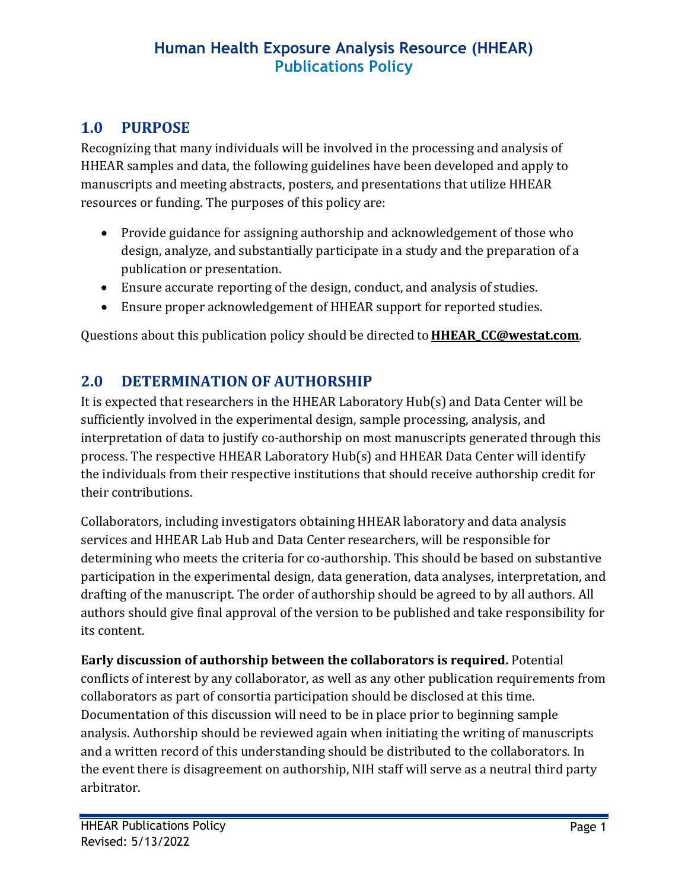### **1.0 PURPOSE**

Recognizing that many individuals will be involved in the processing and analysis of HHEAR samples and data, the following guidelines have been developed and apply to manuscripts and meeting abstracts, posters, and presentations that utilize HHEAR resources or funding. The purposes of this policy are:

- Provide guidance for assigning authorship and acknowledgement of those who design, analyze, and substantially participate in a study and the preparation of a publication or presentation.
- Ensure accurate reporting of the design, conduct, and analysis of studies.
- Ensure proper acknowledgement of HHEAR support for reported studies.

Questions about this publication policy should be directed to**[HHEAR\\_CC@westat.com](mailto:HHEAR_CC@westat.com)**.

## **2.0 DETERMINATION OF AUTHORSHIP**

It is expected that researchers in the HHEAR Laboratory Hub(s) and Data Center will be sufficiently involved in the experimental design, sample processing, analysis, and interpretation of data to justify co-authorship on most manuscripts generated through this process. The respective HHEAR Laboratory Hub(s) and HHEAR Data Center will identify the individuals from their respective institutions that should receive authorship credit for their contributions.

Collaborators, including investigators obtaining HHEAR laboratory and data analysis services and HHEAR Lab Hub and Data Center researchers, will be responsible for determining who meets the criteria for co-authorship. This should be based on substantive participation in the experimental design, data generation, data analyses, interpretation, and drafting of the manuscript. The order of authorship should be agreed to by all authors. All authors should give final approval of the version to be published and take responsibility for its content.

**Early discussion of authorship between the collaborators is required.** Potential conflicts of interest by any collaborator, as well as any other publication requirements from collaborators as part of consortia participation should be disclosed at this time. Documentation of this discussion will need to be in place prior to beginning sample analysis. Authorship should be reviewed again when initiating the writing of manuscripts and a written record of this understanding should be distributed to the collaborators. In the event there is disagreement on authorship, NIH staff will serve as a neutral third party arbitrator.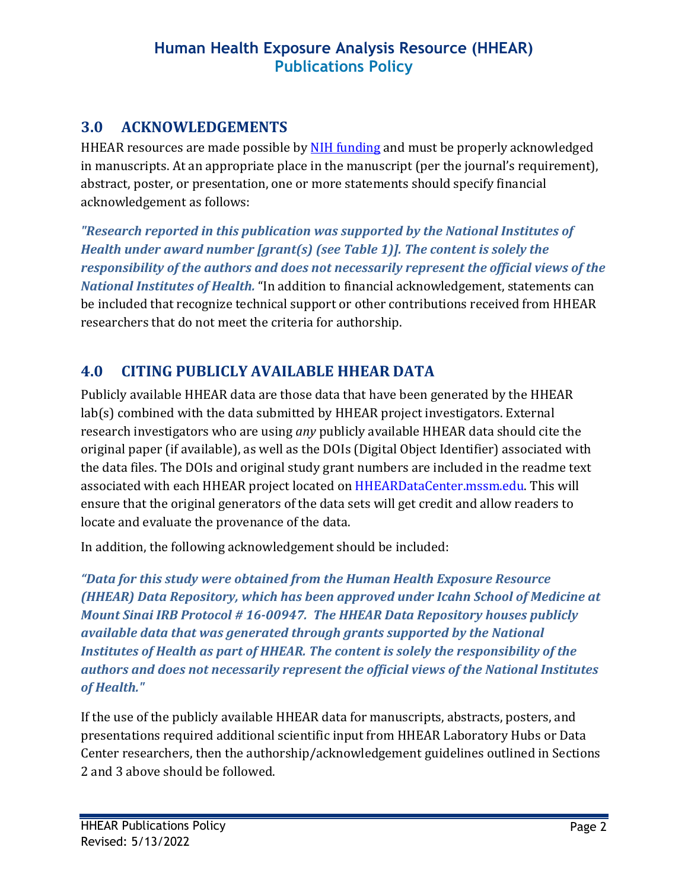#### **3.0 ACKNOWLEDGEMENTS**

HHEAR resources are made possible by [NIH funding](https://grants.nih.gov/grants/acknow.htm) and must be properly acknowledged in manuscripts. At an appropriate place in the manuscript (per the journal's requirement), abstract, poster, or presentation, one or more statements should specify financial acknowledgement as follows:

*"Research reported in this publication was supported by the National Institutes of Health under award number [grant(s) (see Table 1)]. The content is solely the responsibility of the authors and does not necessarily represent the official views of the National Institutes of Health.* "In addition to financial acknowledgement, statements can be included that recognize technical support or other contributions received from HHEAR researchers that do not meet the criteria for authorship.

## **4.0 CITING PUBLICLY AVAILABLE HHEAR DATA**

Publicly available HHEAR data are those data that have been generated by the HHEAR lab(s) combined with the data submitted by HHEAR project investigators. External research investigators who are using *any* publicly available HHEAR data should cite the original paper (if available), as well as the DOIs (Digital Object Identifier) associated with the data files. The DOIs and original study grant numbers are included in the readme text associated with each HHEAR project located on HHEARDataCenter.mssm.edu. This will ensure that the original generators of the data sets will get credit and allow readers to locate and evaluate the provenance of the data.

In addition, the following acknowledgement should be included:

*"Data for this study were obtained from the Human Health Exposure Resource (HHEAR) Data Repository, which has been approved under Icahn School of Medicine at Mount Sinai IRB Protocol # 16-00947. The HHEAR Data Repository houses publicly available data that was generated through grants supported by the National Institutes of Health as part of HHEAR. The content is solely the responsibility of the authors and does not necessarily represent the official views of the National Institutes of Health."*

If the use of the publicly available HHEAR data for manuscripts, abstracts, posters, and presentations required additional scientific input from HHEAR Laboratory Hubs or Data Center researchers, then the authorship/acknowledgement guidelines outlined in Sections 2 and 3 above should be followed.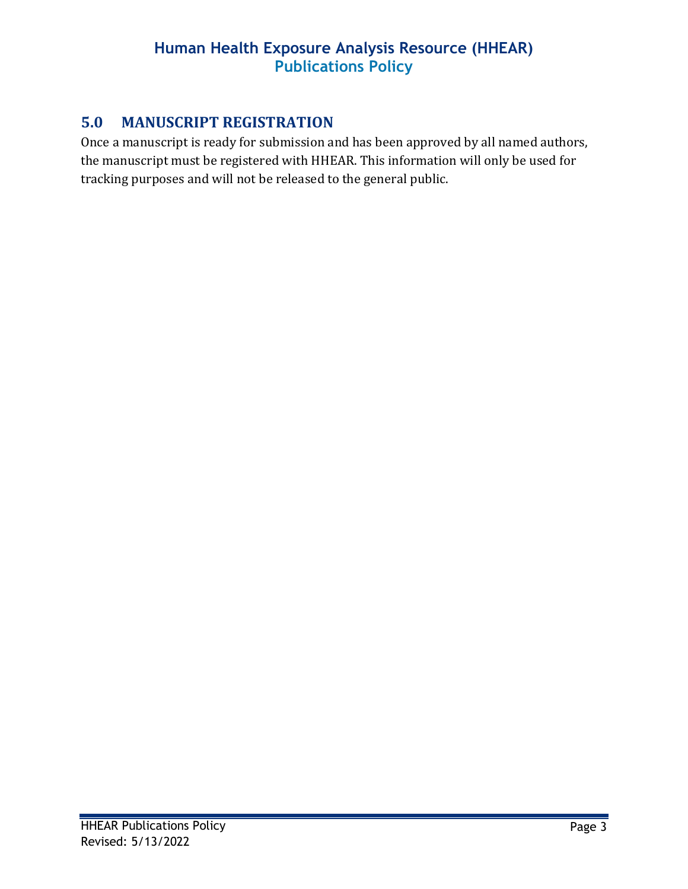### **5.0 MANUSCRIPT REGISTRATION**

Once a manuscript is ready for submission and has been approved by all named authors, the manuscript must be registered with HHEAR. This information will only be used for tracking purposes and will not be released to the general public.